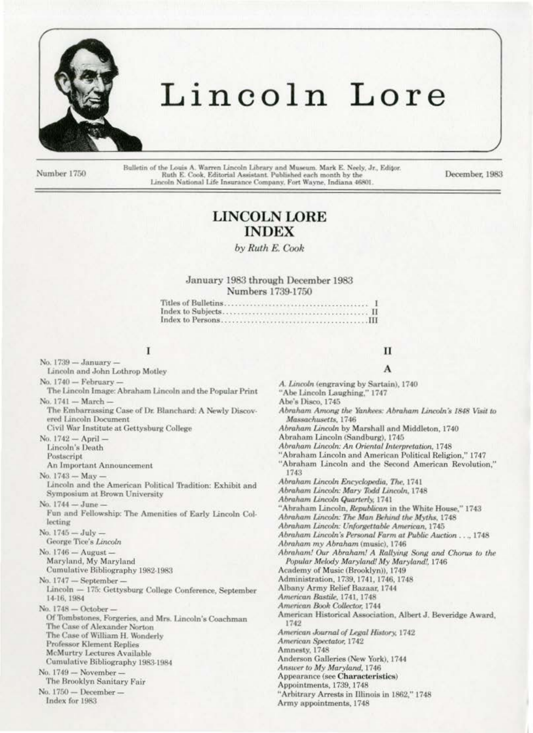

# Lincoln Lore

Number 1750

Bulletin of the Louis A. Warren Lincoln Library and Museum. Mark E. Neely, Jr., Editor. Ruth E. Cook, Editorial Assistant. Published each month by the Lincoln National Life Insurance Company, Fort Wayne, Indiana 46801.

December, 1983

## **LINCOLN LORE INDEX**

by Ruth E. Cook

### January 1983 through December 1983 Numbers 1739-1750

### I

Lincoln and John Lothrop Motley

No. 1740 - February -

No. 1739 - January -

The Lincoln Image: Abraham Lincoln and the Popular Print No. 1741 - March -The Embarrassing Case of Dr. Blanchard: A Newly Discov-

ered Lincoln Document

Civil War Institute at Gettysburg College

No. 1742 - April -Lincoln's Death

Postscript

An Important Announcement

No. 1743 - May -

Lincoln and the American Political Tradition: Exhibit and Symposium at Brown University No. 1744 - June -

Fun and Fellowship: The Amenities of Early Lincoln Collecting

No.  $1745 - July -$ George Tice's Lincoln

No.  $1746 -$ August  $-$ Maryland, My Maryland

Cumulative Bibliography 1982-1983

No. 1747 - September -

Lincoln - 175: Gettysburg College Conference, September 14-16, 1984

No. 1748 - October -Of Tombstones, Forgeries, and Mrs. Lincoln's Coachman The Case of Alexander Norton The Case of William H. Wonderly **Professor Klement Replies McMurtry Lectures Available** 

Cumulative Bibliography 1983-1984

No. 1749 - November-

The Brooklyn Sanitary Fair No. 1750 - December-

Index for 1983

### п A

- A. Lincoln (engraving by Sartain), 1740
- "Abe Lincoln Laughing," 1747

Abe's Disco, 1745

Abraham Among the Yankees: Abraham Lincoln's 1848 Visit to Massachusetts, 1746

Abraham Lincoln by Marshall and Middleton, 1740

Abraham Lincoln (Sandburg), 1745

Abraham Lincoln: An Oriental Interpretation, 1748

"Abraham Lincoln and American Political Religion." 1747

"Abraham Lincoln and the Second American Revolution," 1743

Abraham Lincoln Encyclopedia, The, 1741

Abraham Lincoln: Mary Todd Lincoln, 1748

Abraham Lincoln Quarterly, 1741

"Abraham Lincoln, Republican in the White House," 1743

Abraham Lincoln: The Man Behind the Myths, 1748

Abraham Lincoln: Unforgettable American, 1745

Abraham Lincoln's Personal Farm at Public Auction ..., 1748

Abraham my Abraham (music), 1746

Abraham! Our Abraham! A Rallying Song and Chorus to the Popular Melody Maryland! My Maryland!, 1746

Academy of Music (Brooklyn)), 1749

Administration, 1739, 1741, 1746, 1748

Albany Army Relief Bazaar, 1744

American Bastile, 1741, 1748

American Book Collector, 1744

American Historical Association, Albert J. Beveridge Award, 1742

American Journal of Legal History, 1742

American Spectator, 1742

Amnesty, 1748

Anderson Galleries (New York), 1744

Answer to My Maryland, 1746 Appearance (see Characteristics)

Appointments, 1739, 1748 "Arbitrary Arrests in Illinois in 1862," 1748

Army appointments, 1748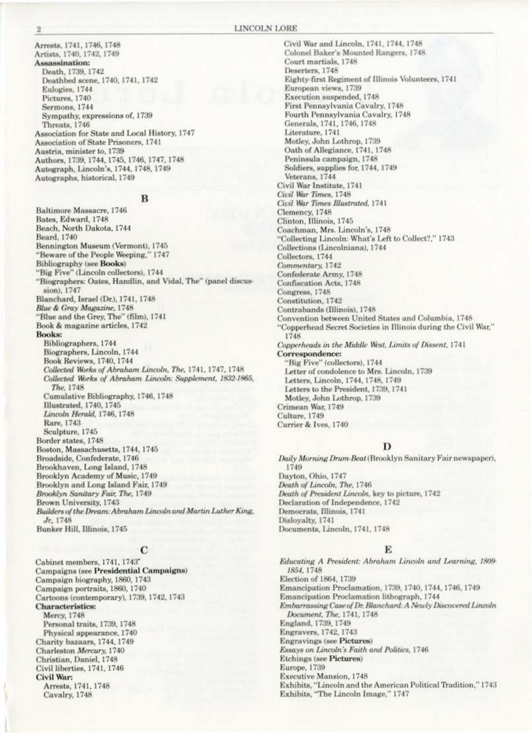Arrests, 1741, 1746, 1748 Artists, 1740, 1742, 1749 Assassination: Death, 1739, 1742 Deathbed scene, 1740, 1741, 1742 Eulogies, 1744 Pictures, 1740 Sermons, 1744 Sympathy, expressions of, 1739 Threats, 1746 Association for State and Local History, 1747 Association of State Prisoners, 1741 Austria, minister to, 1739 Authors, 1739, 1744, 1745, 1746, 1747, 1748 Autograph, Lincoln's, 1744, 1748, 1749 Autographs, historical, 1749

### в

Baltimore Massacre, 1746 Bates, Edward, 1748 Beach, North Dakota, 1744 Beard, 1740 Bennington Museum (Vermont), 1745 "Beware of the People Weeping," 1747 **Bibliography** (see Books) "Big Five" (Lincoln collectors), 1744 "Biographers: Oates, Handlin, and Vidal, The" (panel discussion), 1747 Blanchard, Israel (Dr.), 1741, 1748 Blue & Gray Magazine, 1748 "Blue and the Grey, The" (film), 1741 Book & magazine articles, 1742 **Books:** Bibliographers, 1744 Biographers, Lincoln, 1744 Book Reviews, 1740, 1744 Collected Works of Abraham Lincoln, The, 1741, 1747, 1748 Collected Works of Abraham Lincoln: Supplement, 1832-1865, The, 1748 Cumulative Bibliography, 1746, 1748 Illustrated, 1740, 1745 Lincoln Herald, 1746, 1748 Rare, 1743 Sculpture, 1745 Border states, 1748 Boston, Massachusetts, 1744, 1745 Broadside, Confederate, 1746 Brookhaven, Long Island, 1748 Brooklyn Academy of Music, 1749 Brooklyn and Long Island Fair, 1749 Brooklyn Sanitary Fair, The, 1749 Brown University, 1743 Builders of the Dream: Abraham Lincoln and Martin Luther King, Jr. 1748 Bunker Hill, Illinois, 1745

### C

Cabinet members, 1741, 1743\* Campaigns (see Presidential Campaigns) Campaign biography, 1860, 1743 Campaign portraits, 1860, 1740 Cartoons (contemporary), 1739, 1742, 1743 **Characteristics:** Mercy, 1748 Personal traits, 1739, 1748 Physical appearance, 1740 Charity bazaars, 1744, 1749 Charleston Mercury, 1740 Christian, Daniel, 1748 Civil liberties, 1741, 1746 Civil War: Arrests, 1741, 1748 Cavalry, 1748

Civil War and Lincoln, 1741, 1744, 1748 Colonel Baker's Mounted Rangers, 1748. Court martials, 1748 Deserters, 1748 Eighty-first Regiment of Illinois Volunteers, 1741 European views, 1739 Execution suspended, 1748 First Pennsylvania Cavalry, 1748 Fourth Pennsylvania Cavalry, 1748 Generals, 1741, 1746, 1748 Literature, 1741 Motley, John Lothrop, 1739 Oath of Allegiance, 1741, 1748 Peninsula campaign, 1748 Soldiers, supplies for, 1744, 1749 Veterans, 1744 Civil War Institute, 1741 Civil War Times, 1748 Civil War Times Illustrated, 1741 Clemency, 1748 Clinton, Illinois, 1745 Coachman, Mrs. Lincoln's, 1748 "Collecting Lincoln: What's Left to Collect?," 1743 Collections (Lincolniana), 1744 Collectors, 1744 Commentary, 1742 Confederate Army, 1748 **Confiscation Acts**, 1748 Congress, 1748 Constitution, 1742 Contrabands (Illinois), 1748 Convention between United States and Columbia, 1748 "Copperhead Secret Societies in Illinois during the Civil War," 1748 Copperheads in the Middle West, Limits of Dissent, 1741 Correspondence: "Big Five" (collectors), 1744 Letter of condolence to Mrs. Lincoln, 1739 Letters, Lincoln, 1744, 1748, 1749 Letters to the President, 1739, 1741 Motley, John Lothrop, 1739 Crimean War, 1749 Culture, 1749 Currier & Ives, 1740

### D

Daily Morning Drum-Beat (Brooklyn Sanitary Fair newspaper), 1749 Dayton, Ohio, 1747 Death of Lincoln, The, 1746 Death of President Lincoln, key to picture, 1742 Declaration of Independence, 1742 Democrats, Illinois, 1741 Dislovalty, 1741 Documents, Lincoln, 1741, 1748

### E

Educating A President: Abraham Lincoln and Learning, 1809-1854, 1748 Election of 1864, 1739. Emancipation Proclamation, 1739, 1740, 1744, 1746, 1749 Emancipation Proclamation lithograph, 1744 Embarrassing Case of Dr. Blanchard: A Newly Discovered Lincoln Document, The, 1741, 1748 England, 1739, 1749 Engravers, 1742, 1743 **Engravings** (see Pictures) Essays on Lincoln's Faith and Politics, 1746 Etchings (see Pictures) Europe, 1739 Executive Mansion, 1748 Exhibits, "Lincoln and the American Political Tradition," 1743 Exhibits, "The Lincoln Image," 1747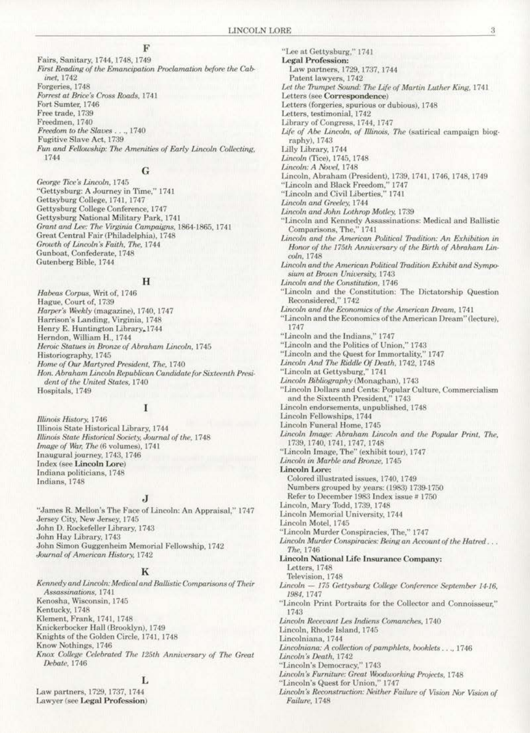### F

Fairs, Sanitary, 1744, 1748, 1749 First Reading of the Emancipation Proclamation before the Cabinet, 1742 Forgeries, 1748 Forrest at Brice's Cross Roads, 1741 Fort Sumter, 1746 Free trade, 1739 Freedmen, 1740 Freedom to the Slaves . . ., 1740 Fugitive Slave Act, 1739 Fun and Fellowship: The Amenities of Early Lincoln Collecting, 1744

### G

George Tice's Lincoln, 1745 "Gettysburg: A Journey in Time," 1741 Gettsyburg College, 1741, 1747 Gettysburg College Conference, 1747 Gettysburg National Military Park, 1741 Grant and Lee: The Virginia Campaigns, 1864-1865, 1741 Great Central Fair (Philadelphia), 1748 Growth of Lincoln's Faith, The, 1744 Gunboat, Confederate, 1748 Gutenberg Bible, 1744

### $H$

Habeas Corpus, Writ of, 1746 Hague, Court of, 1739 Harper's Weekly (magazine), 1740, 1747 Harrison's Landing, Virginia, 1748 Henry E. Huntington Library, 1744 Herndon, William H., 1744 Heroic Statues in Bronze of Abraham Lincoln, 1745 Historiography, 1745 Home of Our Martyred President, The, 1740 Hon. Abraham Lincoln Republican Candidate for Sixteenth President of the United States, 1740 Hospitals, 1749

### I

Illinois History, 1746 Illinois State Historical Library, 1744 Illinois State Historical Society, Journal of the, 1748 Image of War, The (6 volumes), 1741 Inaugural journey, 1743, 1746 Index (see Lincoln Lore) Indiana politicians, 1748 Indians, 1748

### J

"James R. Mellon's The Face of Lincoln: An Appraisal," 1747 Jersey City, New Jersey, 1745 John D. Rockefeller Library, 1743 John Hay Library, 1743 John Simon Guggenheim Memorial Fellowship, 1742 Journal of American History, 1742

### K

Kennedy and Lincoln: Medical and Ballistic Comparisons of Their Assassinations, 1741 Kenosha, Wisconsin, 1745 Kentucky, 1748 Klement, Frank, 1741, 1748 Knickerbocker Hall (Brooklyn), 1749 Knights of the Golden Circle, 1741, 1748 Know Nothings, 1746 Knox College Celebrated The 125th Anniversary of The Great Debate, 1746

### L

Law partners, 1729, 1737, 1744 Lawyer (see Legal Profession)

"Lee at Gettysburg," 1741 **Legal Profession:** Law partners, 1729, 1737, 1744 Patent lawyers, 1742 Let the Trumpet Sound: The Life of Martin Luther King, 1741 Letters (see Correspondence) Letters (forgeries, spurious or dubious), 1748 Letters, testimonial, 1742 Library of Congress, 1744, 1747 Life of Abe Lincoln, of Illinois, The (satirical campaign biography), 1743 Lilly Library, 1744 Lincoln (Tice), 1745, 1748 Lincoln: A Novel, 1748 Lincoln, Abraham (President), 1739, 1741, 1746, 1748, 1749 "Lincoln and Black Freedom," 1747 "Lincoln and Civil Liberties." 1741 Lincoln and Greeley, 1744 Lincoln and John Lothrop Motley, 1739 "Lincoln and Kennedy Assassinations: Medical and Ballistic Comparisons, The,"  $1741\,$ Lincoln and the American Political Tradition: An Exhibition in Honor of the 175th Anniversary of the Birth of Abraham Lincoln, 1748 Lincoln and the American Political Tradition Exhibit and Symposium at Brown University, 1743 Lincoln and the Constitution, 1746 "Lincoln and the Constitution: The Dictatorship Question Reconsidered," 1742 Lincoln and the Economics of the American Dream, 1741 "Lincoln and the Economics of the American Dream" (lecture), 1747 "Lincoln and the Indians," 1747 "Lincoln and the Politics of Union." 1743 "Lincoln and the Quest for Immortality," 1747 Lincoln And The Riddle Of Death, 1742, 1748<br>"Lincoln at Gettysburg," 1741 Lincoln Bibliography (Monaghan), 1743 "Lincoln Dollars and Cents: Popular Culture, Commercialism and the Sixteenth President," 1743 Lincoln endorsements, unpublished, 1748 Lincoln Fellowships, 1744 Lincoln Funeral Home, 1745 Lincoln Image: Abraham Lincoln and the Popular Print, The, 1739, 1740, 1741, 1747, 1748 "Lincoln Image, The" (exhibit tour), 1747 Lincoln in Marble and Bronze, 1745 **Lincoln Lore:** Colored illustrated issues, 1740, 1749 Numbers grouped by years: (1983) 1739-1750 Refer to December 1983 Index issue # 1750 Lincoln, Mary Todd, 1739, 1748 Lincoln Memorial University, 1744 Lincoln Motel, 1745 "Lincoln Murder Conspiracies, The," 1747 Lincoln Murder Conspiracies: Being an Account of the Hatred... The, 1746 Lincoln National Life Insurance Company: Letters, 1748 Television, 1748 Lincoln - 175 Gettysburg College Conference September 14-16, 1984, 1747 "Lincoln Print Portraits for the Collector and Connoisseur," 1743 Lincoln Recevant Les Indiens Comanches, 1740 Lincoln, Rhode Island, 1745 Lincolniana, 1744 Lincolniana: A collection of pamphlets, booklets..., 1746 Lincoln's Death, 1742 "Lincoln's Democracy," 1743 Lincoln's Furniture: Great Woodworking Projects, 1748 "Lincoln's Quest for Union," 1747 Lincoln's Reconstruction: Neither Failure of Vision Nor Vision of Failure, 1748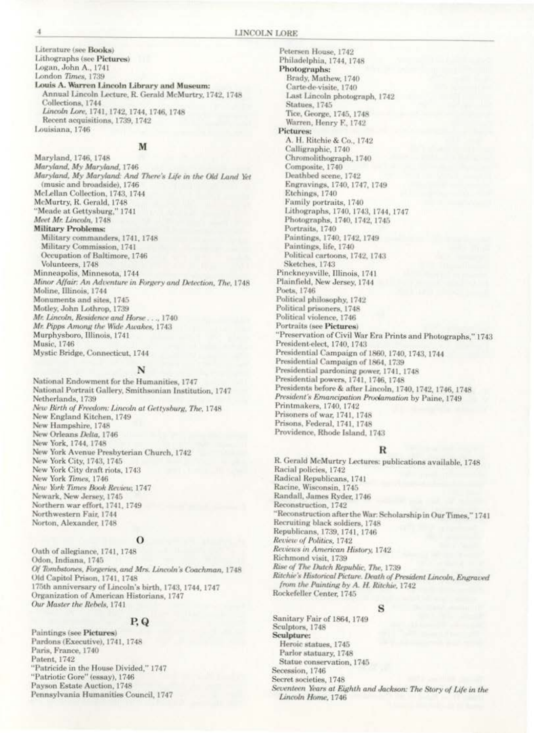Literature (see Books) Lithographs (see Pictures) Logan, John A., 1741 London Times, 1739 Louis A. Warren Lincoln Library and Museum: Annual Lincoln Lecture, R. Gerald McMurtry, 1742, 1748 Collections, 1744 Lincoln Lore, 1741, 1742, 1744, 1746, 1748 Recent acquisitions, 1739, 1742 Louisiana, 1746

### M

Maryland, 1746, 1748 Maryland, My Maryland, 1746 Maryland, My Maryland: And There's Life in the Old Land Yet (music and broadside), 1746 McLellan Collection, 1743, 1744 McMurtry, R. Gerald, 1748 "Meade at Gettysburg," 1741 Meet Mr. Lincoln, 1748 **Military Problems:** Military commanders, 1741, 1748 Military Commission, 1741 Occupation of Baltimore, 1746 Volunteers, 1748 Minneapolis, Minnesota, 1744 Minor Affair: An Adventure in Forgery and Detection, The, 1748 Moline, Illinois, 1744 Monuments and sites, 1745 Motley, John Lothrop, 1739 Mr. Lincoln, Residence and Horse..., 1740. Mr. Pipps Among the Wide Awakes, 1743 Murphysboro, Illinois, 1741 Music, 1746 Mystic Bridge, Connecticut, 1744

### N

National Endowment for the Humanities, 1747 National Portrait Gallery, Smithsonian Institution, 1747 Netherlands, 1739 New Birth of Freedom: Lincoln at Gettysburg, The, 1748 New England Kitchen, 1749 New Hampshire, 1748 New Orleans Delta, 1746 New York, 1744, 1748 New York Avenue Presbyterian Church, 1742 New York City, 1743, 1745 New York City draft riots, 1743 New York Times, 1746 New York Times Book Review, 1747 Newark, New Jersey, 1745 Northern war effort, 1741, 1749 Northwestern Fair, 1744 Norton, Alexander, 1748

### $\Omega$

Oath of allegiance, 1741, 1748 Odon, Indiana, 1745 Of Tombstones, Forgeries, and Mrs. Lincoln's Coachman, 1748 Old Capitol Prison, 1741, 1748 175th anniversary of Lincoln's birth, 1743, 1744, 1747 Organization of American Historians, 1747 Our Master the Rebels, 1741

### P.Q

Paintings (see Pictures) Pardons (Executive), 1741, 1748 Paris, France, 1740 Patent, 1742 "Patricide in the House Divided," 1747 "Patriotic Gore" (essay), 1746 Payson Estate Auction, 1748 Pennsylvania Humanities Council, 1747

Petersen House, 1742 Philadelphia, 1744, 1748 Photographs: Brady, Mathew, 1740 Carte-de-visite, 1740 Last Lincoln photograph, 1742 Statues, 1745 Tice, George, 1745, 1748 Warren, Henry F., 1742 Pictures: A. H. Ritchie & Co., 1742 Calligraphic, 1740 Chromolithograph, 1740 Composite, 1740 Deathbed scene, 1742 Engravings, 1740, 1747, 1749 Etchings, 1740 Family portraits, 1740 Lithographs, 1740, 1743, 1744, 1747 Photographs, 1740, 1742, 1745 Portraits, 1740 Paintings, 1740, 1742, 1749 Paintings, life, 1740 Political cartoons, 1742, 1743 Sketches, 1743 Pinckneysville, Illinois, 1741 Plainfield, New Jersey, 1744 Poets, 1746 Political philosophy, 1742 Political prisoners, 1748 Political violence, 1746 Portraits (see Pictures) "Preservation of Civil War Era Prints and Photographs," 1743 President-elect, 1740, 1743 Presidential Campaign of 1860, 1740, 1743, 1744 Presidential Campaign of 1864, 1739 Presidential pardoning power, 1741, 1748 Presidential powers, 1741, 1746, 1748 Presidents before & after Lincoln, 1740, 1742, 1746, 1748 President's Emancipation Proclamation by Paine, 1749 Printmakers, 1740, 1742 Prisoners of war, 1741, 1748 Prisons, Federal, 1741, 1748 Providence, Rhode Island, 1743

### R

R. Gerald McMurtry Lectures: publications available, 1748 Racial policies, 1742 Radical Republicans, 1741 Racine, Wisconsin, 1745 Randall, James Ryder, 1746 Reconstruction, 1742 "Reconstruction after the War. Scholarship in Our Times," 1741 Recruiting black soldiers, 1748 Republicans, 1739, 1741, 1746 Review of Politics, 1742 Reviews in American History, 1742 Richmond visit, 1739 Rise of The Dutch Republic, The, 1739 Ritchie's Historical Picture. Death of President Lincoln, Engraved from the Painting by A. H. Ritchie, 1742 Rockefeller Center, 1745

### s

Sanitary Fair of 1864, 1749 Sculptors, 1748 Sculpture: Heroic statues, 1745 Parlor statuary, 1748 Statue conservation, 1745 Secession, 1746 Secret societies, 1748 Seventeen Years at Eighth and Jackson: The Story of Life in the Lincoln Home, 1746

A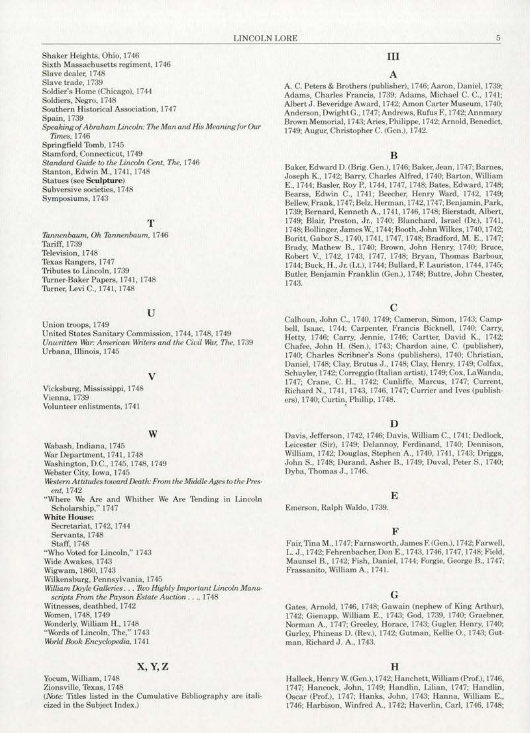Shaker Heights, Ohio, 1746 Sixth Massachusetts regiment, 1746 Slave dealer, 1748 Slave trade, 1739 Soldier's Home (Chicago), 1744 Soldiers, Negro, 1748 Southern Historical Association, 1747 Spain, 1739 Speaking of Abraham Lincoln: The Man and His Meaning for Our Times, 1746 Springfield Tomb, 1745 Stamford, Connecticut, 1749 Standard Guide to the Lincoln Cent, The, 1746 Stanton, Edwin M., 1741, 1748 **Statues (see Sculpture)** Subversive societies, 1748 Symposiums, 1743

### T

Tannenbaum, Oh Tannenbaum, 1746 Tariff, 1739 Television, 1748 Texas Rangers, 1747 Tributes to Lincoln, 1739 Turner-Baker Papers, 1741, 1748 Turner, Levi C., 1741, 1748

### U

Union troops, 1749 United States Sanitary Commission, 1744, 1748, 1749 Unwritten War: American Writers and the Civil War, The, 1739 Urbana, Illinois, 1745

Vicksburg, Mississippi, 1748 Vienna, 1739 Volunteer enlistments, 1741

Wabash, Indiana, 1745

### W

War Department, 1741, 1748 Washington, D.C., 1745, 1748, 1749 Webster City, Iowa, 1745 Western Attitudes toward Death: From the Middle Ages to the Present, 1742 "Where We Are and Whither We Are Tending in Lincoln Scholarship," 1747 **White House:** Secretariat, 1742, 1744 Servants, 1748 Staff, 1748 "Who Voted for Lincoln," 1743 Wide Awakes, 1743 Wigwam, 1860, 1743 Wilkensburg, Pennsylvania, 1745 William Doyle Galleries... Two Highly Important Lincoln Manuscripts From the Payson Estate Auction . . ., 1748 Witnesses, deathbed, 1742 Women, 1748, 1749 Wonderly, William H., 1748 "Words of Lincoln, The," 1743 World Book Encyclopedia, 1741

### X, Y, Z

Yocum, William, 1748 Zionsville, Texas, 1748 (Note: Titles listed in the Cumulative Bibliography are italicized in the Subject Index.)

### III

### A

A. C. Peters & Brothers (publisher), 1746; Aaron, Daniel, 1739; Adams, Charles Francis, 1739; Adams, Michael C. C., 1741; Albert J. Beveridge Award, 1742; Amon Carter Museum, 1740; Anderson, Dwight G., 1747; Andrews, Rufus F., 1742; Annmary Brown Memorial, 1743; Aries, Philippe, 1742; Arnold, Benedict, 1749; Augur, Christopher C. (Gen.), 1742.

### B

Baker, Edward D. (Brig. Gen.), 1746; Baker, Jean, 1747; Barnes, Joseph K., 1742; Barry, Charles Alfred, 1740; Barton, William E., 1744; Basler, Roy P., 1744, 1747, 1748; Bates, Edward, 1748; Bearss, Edwin C., 1741; Beecher, Henry Ward, 1742, 1749; Bellew, Frank, 1747; Belz, Herman, 1742, 1747; Benjamin, Park, 1739; Bernard, Kenneth A., 1741, 1746, 1748; Bierstadt, Albert, 1749; Blair, Preston, Jr., 1740; Blanchard, Israel (Dr.), 1741, 1748; Bollinger, James W., 1744; Booth, John Wilkes, 1740, 1742; Boritt, Gabor S., 1740, 1741, 1747, 1748; Bradford, M. E., 1747; Brady, Mathew B., 1740; Brown, John Henry, 1740; Bruce, Robert V., 1742, 1743, 1747, 1748; Bryan, Thomas Barbour, 1744; Buck, H., Jr. (Lt.), 1744; Bullard, F. Lauriston, 1744, 1745; Butler, Benjamin Franklin (Gen.), 1748; Buttre, John Chester, 1743.

### C

Calhoun, John C., 1740, 1749; Cameron, Simon, 1743; Campbell, Isaac, 1744; Carpenter, Francis Bicknell, 1740; Carry, Hetty, 1746; Carry, Jennie, 1746; Cartter, David K., 1742; Chafee, John H. (Sen.), 1743; Chardon aine, C. (publisher), 1740; Charles Scribner's Sons (publishers), 1740; Christian, Daniel, 1748; Clay, Brutus J., 1748; Clay, Henry, 1749; Colfax, Schuyler, 1742; Correggio (Italian artist), 1749; Cox, LaWanda, 1747; Crane, C. H., 1742; Cunliffe, Marcus, 1747; Current, Richard N., 1741, 1743, 1746, 1747; Currier and Ives (publishers), 1740; Curtin, Phillip, 1748.

### D

Davis, Jefferson, 1742, 1746; Davis, William C., 1741; Dedlock, Leicester (Sir), 1749; Delannoy, Ferdinand, 1740; Dennison, William, 1742; Douglas, Stephen A., 1740, 1741, 1743; Driggs, John S., 1748; Durand, Asher B., 1749; Duval, Peter S., 1740; Dyba, Thomas J., 1746.

### E

Emerson, Ralph Waldo, 1739.

### F

Fair, Tina M., 1747; Farnsworth, James F. (Gen.), 1742; Farwell, L. J., 1742; Fehrenbacher, Don E., 1743, 1746, 1747, 1748; Field, Maunsel B., 1742; Fish, Daniel, 1744; Forgie, George B., 1747; Frassanito, William A., 1741.

### G

Gates, Arnold, 1746, 1748; Gawain (nephew of King Arthur), 1742; Gienapp, William E., 1743; God, 1739, 1740; Graebner, Norman A., 1747; Greeley, Horace, 1743; Gugler, Henry, 1740; Gurley, Phineas D. (Rev.), 1742; Gutman, Kellie O., 1743; Gutman, Richard J. A., 1743.

### H

Halleck, Henry W. (Gen.), 1742; Hanchett, William (Prof.), 1746, 1747; Hancock, John, 1749; Handlin, Lilian, 1747; Handlin, Oscar (Prof.), 1747; Hanks, John, 1743; Hanna, William E., 1746; Harbison, Winfred A., 1742; Haverlin, Carl, 1746, 1748;